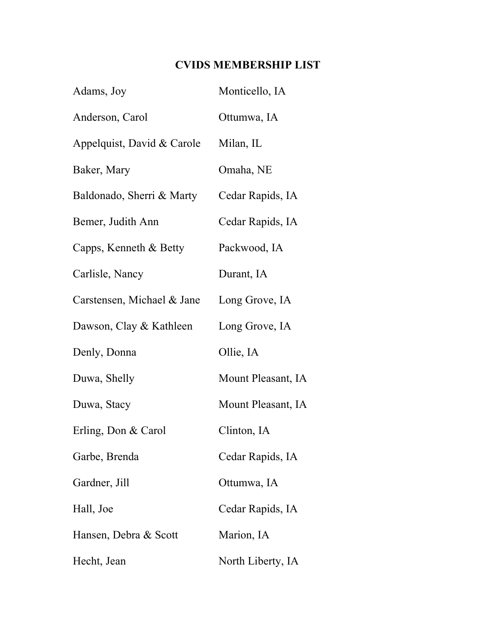## **CVIDS MEMBERSHIP LIST**

| Adams, Joy                 | Monticello, IA     |
|----------------------------|--------------------|
| Anderson, Carol            | Ottumwa, IA        |
| Appelquist, David & Carole | Milan, IL          |
| Baker, Mary                | Omaha, NE          |
| Baldonado, Sherri & Marty  | Cedar Rapids, IA   |
| Bemer, Judith Ann          | Cedar Rapids, IA   |
| Capps, Kenneth & Betty     | Packwood, IA       |
| Carlisle, Nancy            | Durant, IA         |
| Carstensen, Michael & Jane | Long Grove, IA     |
| Dawson, Clay & Kathleen    | Long Grove, IA     |
| Denly, Donna               | Ollie, IA          |
| Duwa, Shelly               | Mount Pleasant, IA |
| Duwa, Stacy                | Mount Pleasant, IA |
| Erling, Don & Carol        | Clinton, IA        |
| Garbe, Brenda              | Cedar Rapids, IA   |
| Gardner, Jill              | Ottumwa, IA        |
| Hall, Joe                  | Cedar Rapids, IA   |
| Hansen, Debra & Scott      | Marion, IA         |
| Hecht, Jean                | North Liberty, IA  |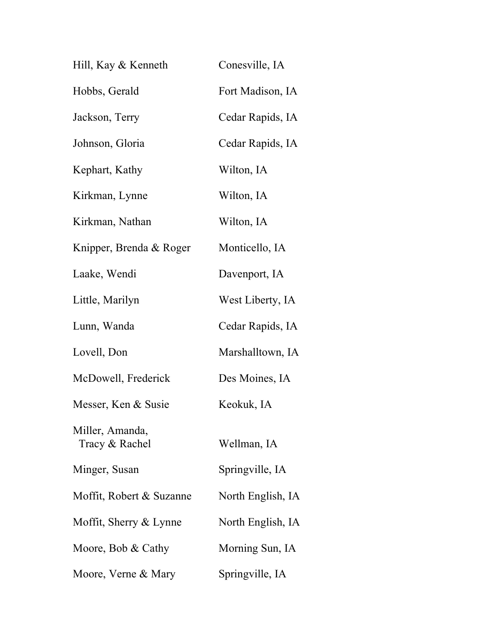| Hill, Kay & Kenneth               | Conesville, IA    |
|-----------------------------------|-------------------|
| Hobbs, Gerald                     | Fort Madison, IA  |
| Jackson, Terry                    | Cedar Rapids, IA  |
| Johnson, Gloria                   | Cedar Rapids, IA  |
| Kephart, Kathy                    | Wilton, IA        |
| Kirkman, Lynne                    | Wilton, IA        |
| Kirkman, Nathan                   | Wilton, IA        |
| Knipper, Brenda & Roger           | Monticello, IA    |
| Laake, Wendi                      | Davenport, IA     |
| Little, Marilyn                   | West Liberty, IA  |
| Lunn, Wanda                       | Cedar Rapids, IA  |
| Lovell, Don                       | Marshalltown, IA  |
| McDowell, Frederick               | Des Moines, IA    |
| Messer, Ken & Susie               | Keokuk, IA        |
| Miller, Amanda,<br>Tracy & Rachel | Wellman, IA       |
| Minger, Susan                     | Springville, IA   |
| Moffit, Robert & Suzanne          | North English, IA |
| Moffit, Sherry & Lynne            | North English, IA |
| Moore, Bob & Cathy                | Morning Sun, IA   |
| Moore, Verne & Mary               | Springville, IA   |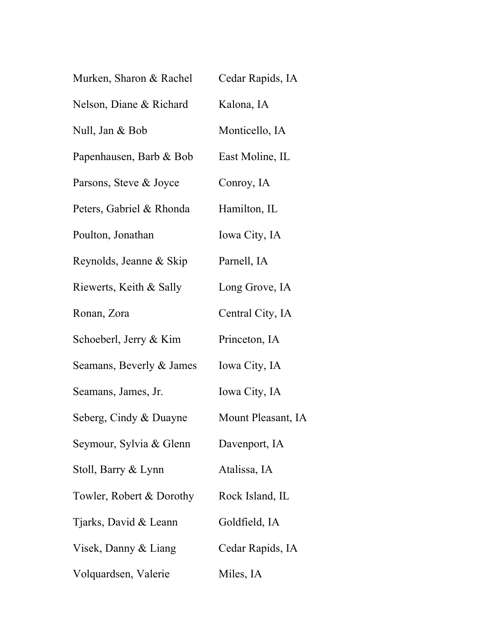| Murken, Sharon & Rachel  | Cedar Rapids, IA   |
|--------------------------|--------------------|
| Nelson, Diane & Richard  | Kalona, IA         |
| Null, Jan & Bob          | Monticello, IA     |
| Papenhausen, Barb & Bob  | East Moline, IL    |
| Parsons, Steve & Joyce   | Conroy, IA         |
| Peters, Gabriel & Rhonda | Hamilton, IL       |
| Poulton, Jonathan        | Iowa City, IA      |
| Reynolds, Jeanne & Skip  | Parnell, IA        |
| Riewerts, Keith & Sally  | Long Grove, IA     |
| Ronan, Zora              | Central City, IA   |
| Schoeberl, Jerry & Kim   | Princeton, IA      |
| Seamans, Beverly & James | Iowa City, IA      |
| Seamans, James, Jr.      | Iowa City, IA      |
| Seberg, Cindy & Duayne   | Mount Pleasant, IA |
| Seymour, Sylvia & Glenn  | Davenport, IA      |
| Stoll, Barry & Lynn      | Atalissa, IA       |
| Towler, Robert & Dorothy | Rock Island, IL    |
| Tjarks, David & Leann    | Goldfield, IA      |
| Visek, Danny & Liang     | Cedar Rapids, IA   |
| Volquardsen, Valerie     | Miles, IA          |